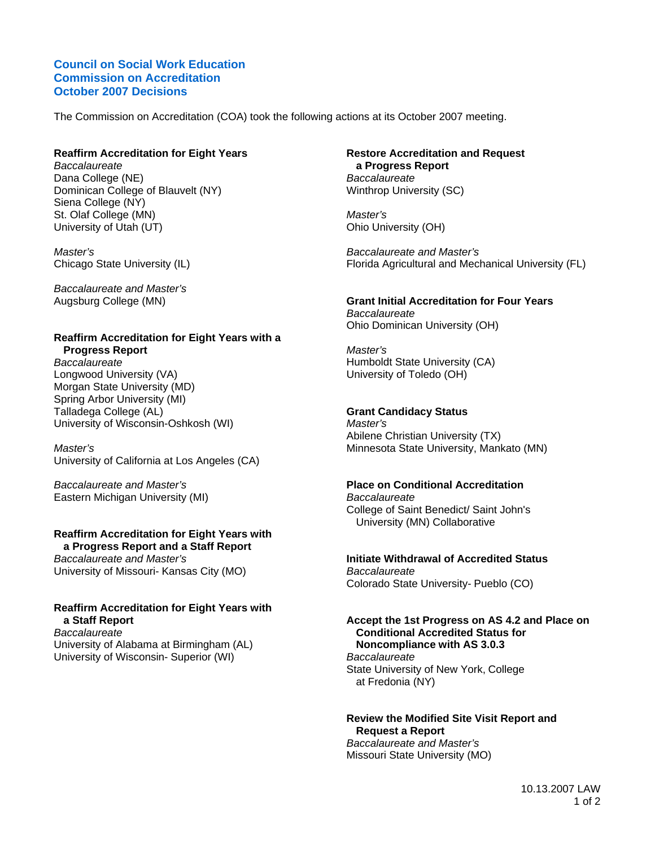### **Council on Social Work Education Commission on Accreditation October 2007 Decisions**

The Commission on Accreditation (COA) took the following actions at its October 2007 meeting.

## **Reaffirm Accreditation for Eight Years**

*Baccalaureate*  Dana College (NE) Dominican College of Blauvelt (NY) Siena College (NY) St. Olaf College (MN) University of Utah (UT)

*Master's*  Chicago State University (IL)

*Baccalaureate and Master's*  Augsburg College (MN)

## **Reaffirm Accreditation for Eight Years with a Progress Report**

*Baccalaureate*  Longwood University (VA) Morgan State University (MD) Spring Arbor University (MI) Talladega College (AL) University of Wisconsin-Oshkosh (WI)

*Master's*  University of California at Los Angeles (CA)

*Baccalaureate and Master's*  Eastern Michigan University (MI)

### **Reaffirm Accreditation for Eight Years with a Progress Report and a Staff Report**

*Baccalaureate and Master's*  University of Missouri- Kansas City (MO)

## **Reaffirm Accreditation for Eight Years with a Staff Report**

*Baccalaureate*  University of Alabama at Birmingham (AL) University of Wisconsin- Superior (WI)

### **Restore Accreditation and Request a Progress Report**  *Baccalaureate*  Winthrop University (SC)

*Master's*  Ohio University (OH)

*Baccalaureate and Master's*  Florida Agricultural and Mechanical University (FL)

## **Grant Initial Accreditation for Four Years**  *Baccalaureate*

Ohio Dominican University (OH)

*Master's*  Humboldt State University (CA) University of Toledo (OH)

## **Grant Candidacy Status**

*Master's*  Abilene Christian University (TX) Minnesota State University, Mankato (MN)

## **Place on Conditional Accreditation**

*Baccalaureate*  College of Saint Benedict/ Saint John's University (MN) Collaborative

## **Initiate Withdrawal of Accredited Status**  *Baccalaureate*

Colorado State University- Pueblo (CO)

### **Accept the 1st Progress on AS 4.2 and Place on Conditional Accredited Status for Noncompliance with AS 3.0.3**  *Baccalaureate*

State University of New York, College at Fredonia (NY)

### **Review the Modified Site Visit Report and Request a Report**  *Baccalaureate and Master's*  Missouri State University (MO)